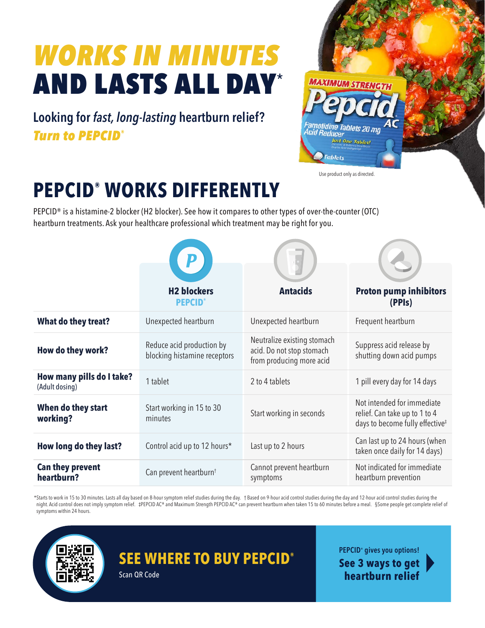# *WORKS IN MINUTES* AND LASTS ALL DAY\*

**Looking for** *fast, long-lasting* **heartburn relief?**  *Turn to PEPCID®*



Use product only as directed.

## **PEPCID® WORKS DIFFERENTLY**

PEPCID® is a histamine-2 blocker (H2 blocker). See how it compares to other types of over-the-counter (OTC) heartburn treatments. Ask your healthcare professional which treatment may be right for you.

|                                             | <b>H2 blockers</b>                                        | <b>Antacids</b>                                                                      | <b>Proton pump inhibitors</b>                                                                              |
|---------------------------------------------|-----------------------------------------------------------|--------------------------------------------------------------------------------------|------------------------------------------------------------------------------------------------------------|
|                                             | <b>PEPCID</b>                                             |                                                                                      | (PPIs)                                                                                                     |
| What do they treat?                         | Unexpected heartburn                                      | Unexpected heartburn                                                                 | Frequent heartburn                                                                                         |
| How do they work?                           | Reduce acid production by<br>blocking histamine receptors | Neutralize existing stomach<br>acid. Do not stop stomach<br>from producing more acid | Suppress acid release by<br>shutting down acid pumps                                                       |
| How many pills do I take?<br>(Adult dosing) | 1 tablet                                                  | 2 to 4 tablets                                                                       | 1 pill every day for 14 days                                                                               |
| When do they start<br>working?              | Start working in 15 to 30<br>minutes                      | Start working in seconds                                                             | Not intended for immediate<br>relief. Can take up to 1 to 4<br>days to become fully effective <sup>#</sup> |
| How long do they last?                      | Control acid up to 12 hours*                              | Last up to 2 hours                                                                   | Can last up to 24 hours (when<br>taken once daily for 14 days)                                             |
| Can they prevent<br>heartburn?              | Can prevent heartburn <sup>t</sup>                        | Cannot prevent heartburn<br>symptoms                                                 | Not indicated for immediate<br>heartburn prevention                                                        |

\*Starts to work in 15 to 30 minutes. Lasts all day based on 8-hour symptom relief studies during the day. † Based on 9-hour acid control studies during the day and 12-hour acid control studies during the night. Acid control does not imply symptom relief. #PEPCID AC® and Maximum Strength PEPCID AC® can prevent heartburn when taken 15 to 60 minutes before a meal. §Some people get complete relief of symptoms within 24 hours.



#### **SEE WHERE TO BUY PEPCID®**

Scan QR Code

**PEPCID® gives you options!**

**See 3 ways to get heartburn relief**